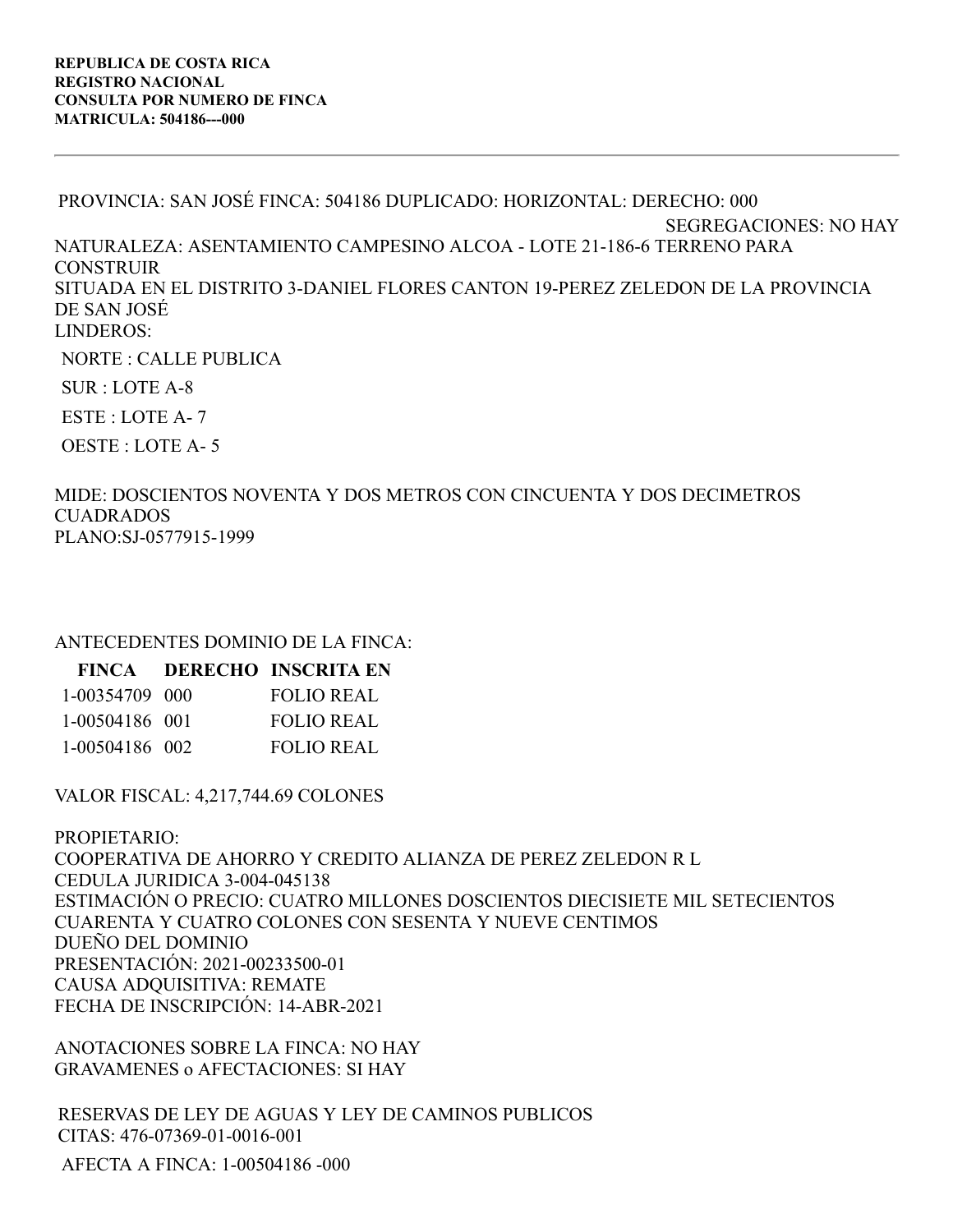PROVINCIA: SAN JOSÉ FINCA: 504186 DUPLICADO: HORIZONTAL: DERECHO: 000 SEGREGACIONES: NO HAY NATURALEZA: ASENTAMIENTO CAMPESINO ALCOA - LOTE 21-186-6 TERRENO PARA CONSTRUIR SITUADA EN EL DISTRITO 3-DANIEL FLORES CANTON 19-PEREZ ZELEDON DE LA PROVINCIA DE SAN JOSÉ LINDEROS: NORTE : CALLE PUBLICA SUR : LOTE A-8

ESTE : LOTE A- 7

OESTE : LOTE A- 5

MIDE: DOSCIENTOS NOVENTA Y DOS METROS CON CINCUENTA Y DOS DECIMETROS CUADRADOS PLANO:SJ-0577915-1999

ANTECEDENTES DOMINIO DE LA FINCA:

|                | FINCA DERECHO INSCRITA EN |
|----------------|---------------------------|
| 1-00354709 000 | FOLIO REAL                |
| 1-00504186 001 | <b>FOLIO REAL</b>         |
| 1-00504186 002 | <b>FOLIO REAL</b>         |

VALOR FISCAL: 4,217,744.69 COLONES

PROPIETARIO: COOPERATIVA DE AHORRO Y CREDITO ALIANZA DE PEREZ ZELEDON R L CEDULA JURIDICA 3-004-045138 ESTIMACIÓN O PRECIO: CUATRO MILLONES DOSCIENTOS DIECISIETE MIL SETECIENTOS CUARENTA Y CUATRO COLONES CON SESENTA Y NUEVE CENTIMOS DUEÑO DEL DOMINIO PRESENTACIÓN: 2021-00233500-01 CAUSA ADQUISITIVA: REMATE FECHA DE INSCRIPCIÓN: 14-ABR-2021

ANOTACIONES SOBRE LA FINCA: NO HAY GRAVAMENES o AFECTACIONES: SI HAY

RESERVAS DE LEY DE AGUAS Y LEY DE CAMINOS PUBLICOS CITAS: 476-07369-01-0016-001

AFECTA A FINCA: 1-00504186 -000